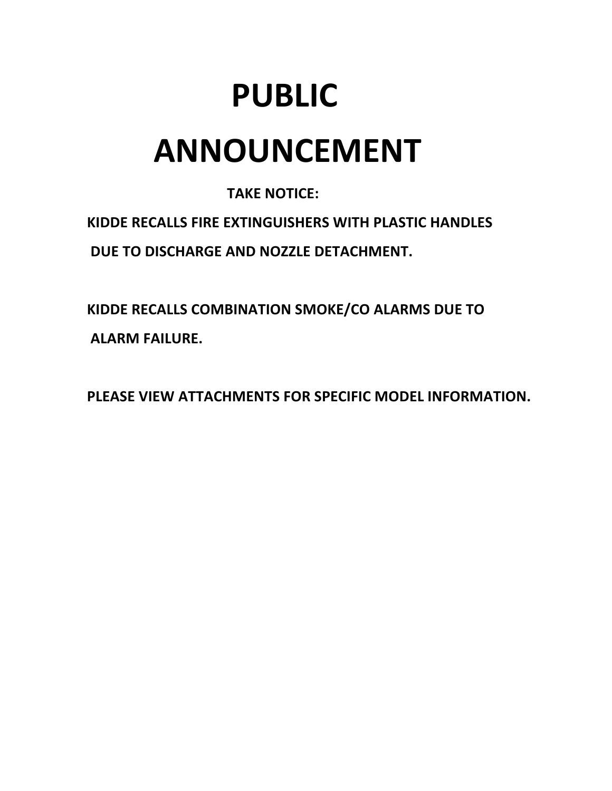# **PUBLIC ANNOUNCEMENT**

# **TAKE NOTICE:**

**KIDDE RECALLS FIRE EXTINGUISHERS WITH PLASTIC HANDLES** *DUE TO DISCHARGE AND NOZZLE DETACHMENT.* 

**KIDDE RECALLS COMBINATION SMOKE/CO ALARMS DUE TO ALARM FAILURE.** 

PLEASE VIEW ATTACHMENTS FOR SPECIFIC MODEL INFORMATION.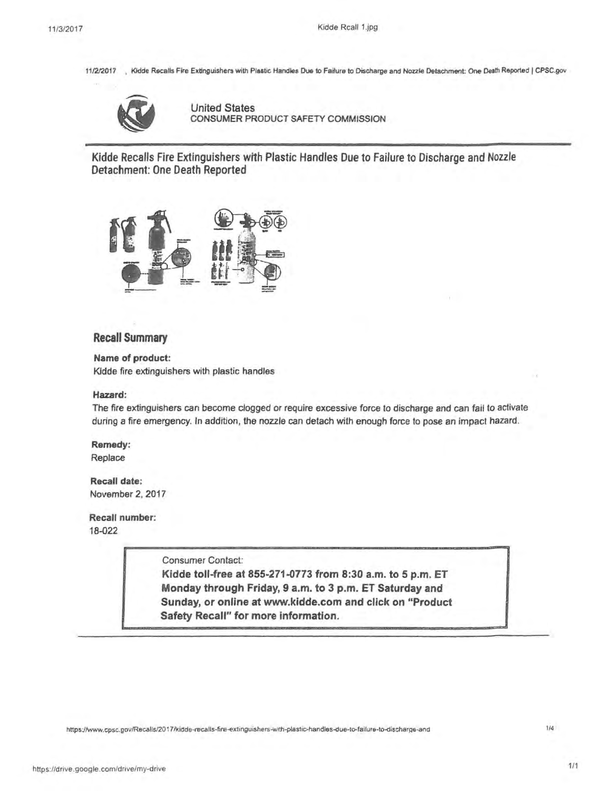11/2/2017 , Kidde Recalls Fire Extinguishers with Plastic Handles Due to Failure to Discharge and Nozzle Detachment: One Death Reported | CPSC.gov



United States CONSUMER PRODUCT SAFETY COMMISSION

Kidde Recalls Fire Extinguishers with Plastic Handles Due to Failure to Discharge and Nozzle Detachment: One Death Reported



#### **Recall Summary**

**Name of product:**  Kidde fire extinguishers with plastic handles

#### **Hazard:**

The fire extinguishers can become clogged or require excessive force to discharge and can fail to activate during a fire emergency. In addition, the nozzle can detach with enough force to pose an impact hazard.

**Remedy:**  Replace

**Recall date:**  November 2, 2017

**Recall number:**  18-022

Consumer Contact:

**Kidde toll-free at 855-271-0773 from 8:30 a.m. to 5 p.m. ET Monday through Friday, 9 a.m. to 3 p.m.** ET **Saturday and Sunday, or online at www.kidde.com and click on "Product Safety Recall" for more information.** 

https://www.cpsc.gov/Recalls/2017/kidde-recalls-fire-extinguishers-with-plastic-handles-due-to-failure-to-discharge-and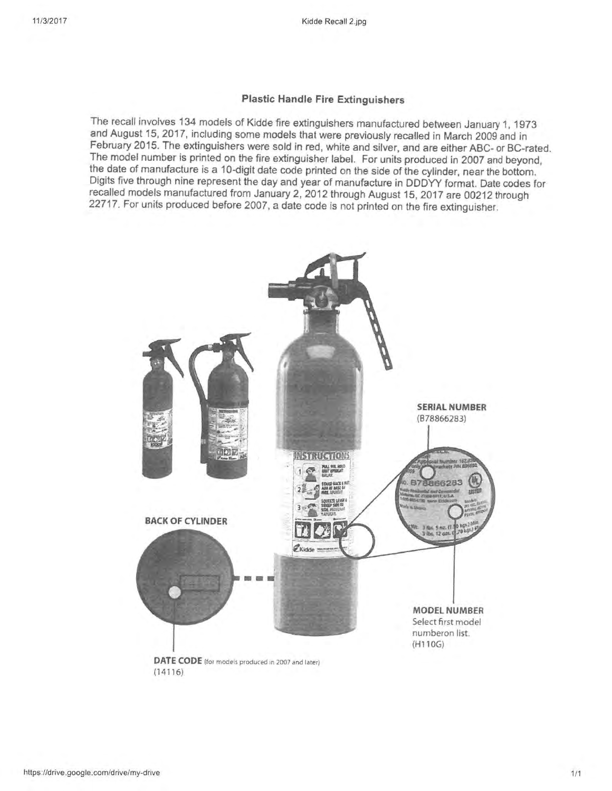#### **Plastic Handle Fire Extinguishers**

The recall involves 134 models of Kidde fire extinguishers manufactured between January 1, 1973 and August 15, 2017, including some models that were previously recalled in March 2009 and in February 2015. The extinguishers were sold in red, white and silver, and are either ABC- or BC-rated. The model number is printed on the fire extinguisher label. For units produced in 2007 and beyond, the date of manufacture is a 10-digit date code printed on the side of the cylinder, near the bottom. Digits five through nine represent the day and year of manufacture in DDDYY format. Date codes for recalled models manufactured from January 2, 2012 through August 15, 2017 are 00212 through 22717. For units produced before 2007, a date code is not printed on the fire extinguisher.

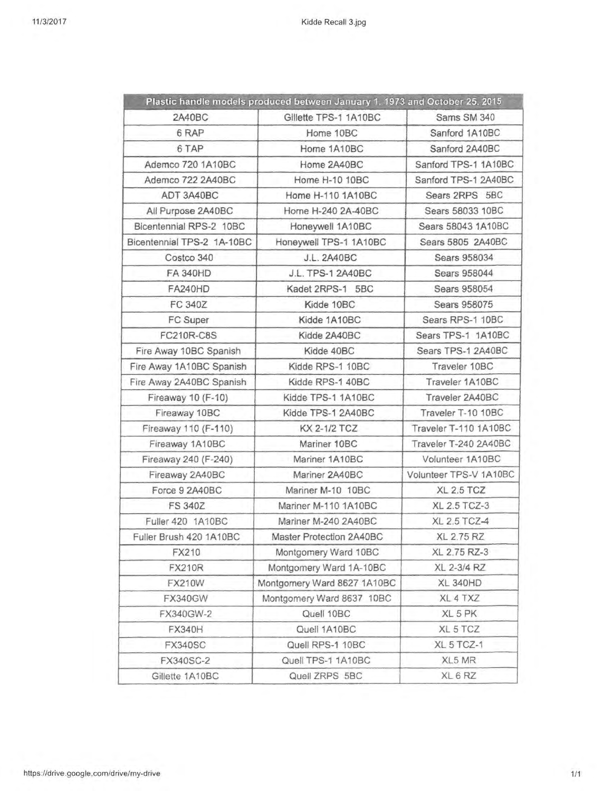|                            | Plastic handle models produced between January 1, 1973 and October 25, 2015 |                        |  |
|----------------------------|-----------------------------------------------------------------------------|------------------------|--|
| 2A40BC                     | Gillette TPS-1 1A10BC                                                       | Sams SM 340            |  |
| 6 RAP                      | Home 10BC                                                                   | Sanford 1A10BC         |  |
| 6 TAP                      | Home 1A10BC                                                                 | Sanford 2A40BC         |  |
| Ademco 720 1A10BC          | Home 2A40BC                                                                 | Sanford TPS-1 1A10BC   |  |
| Ademco 722 2A40BC          | Home H-10 10BC                                                              | Sanford TPS-1 2A40BC   |  |
| ADT 3A40BC                 | Home H-110 1A10BC                                                           | Sears 2RPS 5BC         |  |
| All Purpose 2A40BC         | Home H-240 2A-40BC                                                          | Sears 58033 10BC       |  |
| Bicentennial RPS-2 10BC    | Honeywell 1A10BC                                                            | Sears 58043 1A10BC     |  |
| Bicentennial TPS-2 1A-10BC | Honeywell TPS-1 1A10BC                                                      | Sears 5805 2A40BC      |  |
| Costco 340                 | <b>J.L. 2A40BC</b>                                                          | Sears 958034           |  |
| <b>FA 340HD</b>            | J.L. TPS-1 2A40BC                                                           | Sears 958044           |  |
| <b>FA240HD</b>             | Kadet 2RPS-1 5BC                                                            | Sears 958054           |  |
| <b>FC 340Z</b>             | Kidde 10BC                                                                  | Sears 958075           |  |
| FC Super                   | Kidde 1A10BC                                                                | Sears RPS-1 10BC       |  |
| <b>FC210R-C8S</b>          | Kidde 2A40BC                                                                | Sears TPS-1 1A10BC     |  |
| Fire Away 10BC Spanish     | Kidde 40BC                                                                  | Sears TPS-1 2A40BC     |  |
| Fire Away 1A10BC Spanish   | Kidde RPS-1 10BC                                                            | Traveler 10BC          |  |
| Fire Away 2A40BC Spanish   | Kidde RPS-1 40BC                                                            | Traveler 1A10BC        |  |
| Fireaway 10 (F-10)         | Kidde TPS-1 1A10BC                                                          | Traveler 2A40BC        |  |
| Fireaway 10BC              | Kidde TPS-1 2A40BC                                                          | Traveler T-10 10BC     |  |
| Fireaway 110 (F-110)       | KX 2-1/2 TCZ                                                                | Traveler T-110 1A10BC  |  |
| Fireaway 1A10BC            | Mariner 10BC                                                                | Traveler T-240 2A40BC  |  |
| Fireaway 240 (F-240)       | Mariner 1A10BC                                                              | Volunteer 1A10BC       |  |
| Fireaway 2A40BC            | Mariner 2A40BC                                                              | Volunteer TPS-V 1A10BC |  |
| Force 9 2A40BC             | Mariner M-10 10BC                                                           | <b>XL 2.5 TCZ</b>      |  |
| <b>FS 340Z</b>             | Mariner M-110 1A10BC                                                        | <b>XL 2.5 TCZ-3</b>    |  |
| Fuller 420 1A10BC          | Mariner M-240 2A40BC                                                        | XL 2.5 TCZ-4           |  |
| Fuller Brush 420 1A10BC    | Master Protection 2A40BC                                                    | <b>XL 2.75 RZ</b>      |  |
| FX210                      | Montgomery Ward 10BC                                                        | XL 2.75 RZ-3           |  |
| <b>FX210R</b>              | Montgomery Ward 1A-10BC                                                     | XL 2-3/4 RZ            |  |
| <b>FX210W</b>              | Montgomery Ward 8627 1A10BC                                                 | <b>XL 340HD</b>        |  |
| <b>FX340GW</b>             | Montgomery Ward 8637 10BC                                                   | XL 4 TXZ               |  |
| FX340GW-2                  | Quell 10BC                                                                  | XL 5 PK                |  |
| <b>FX340H</b>              | Quell 1A10BC                                                                | XL 5 TCZ               |  |
| <b>FX340SC</b>             | Quell RPS-1 10BC                                                            | XL 5 TCZ-1             |  |
| FX340SC-2                  | Quell TPS-1 1A10BC                                                          | XL5 MR                 |  |
| Gillette 1A10BC            | Quell ZRPS 5BC                                                              | XL 6 RZ                |  |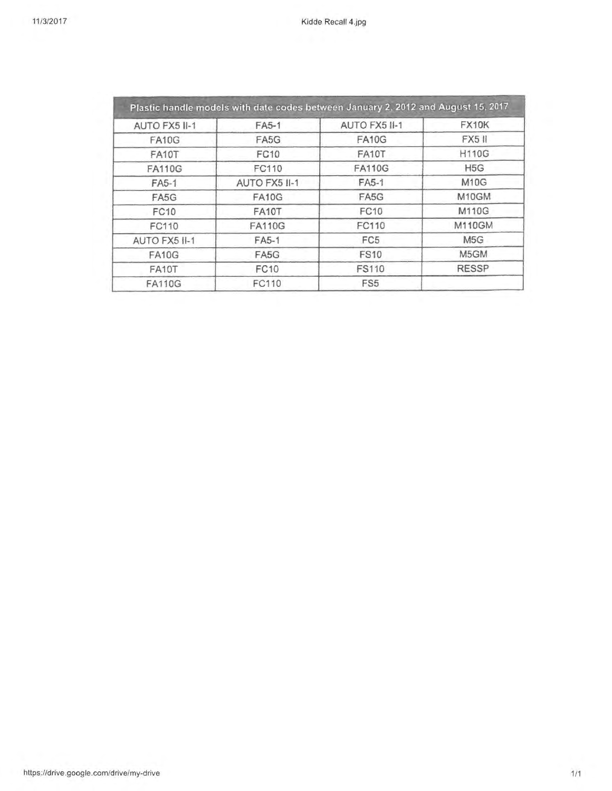| AUTO FX5 II-1 | FA5-1         | AUTO FX5 II-1   | FX10K            |
|---------------|---------------|-----------------|------------------|
| <b>FA10G</b>  | FA5G          | <b>FA10G</b>    | <b>FX5 II</b>    |
| FA10T         | <b>FC10</b>   | FA10T           | <b>H110G</b>     |
| <b>FA110G</b> | FC110         | <b>FA110G</b>   | H <sub>5</sub> G |
| FA5-1         | AUTO FX5 II-1 | FA5-1           | <b>M10G</b>      |
| FA5G          | <b>FA10G</b>  | FA5G            | M10GM            |
| FC10          | FA10T         | FC10            | M110G            |
| FC110         | <b>FA110G</b> | FC110           | <b>M110GM</b>    |
| AUTO FX5 II-1 | FA5-1         | FC5             | M <sub>5</sub> G |
| <b>FA10G</b>  | FA5G          | <b>FS10</b>     | M5GM             |
| FA10T         | <b>FC10</b>   | <b>FS110</b>    | <b>RESSP</b>     |
| <b>FA110G</b> | FC110         | FS <sub>5</sub> |                  |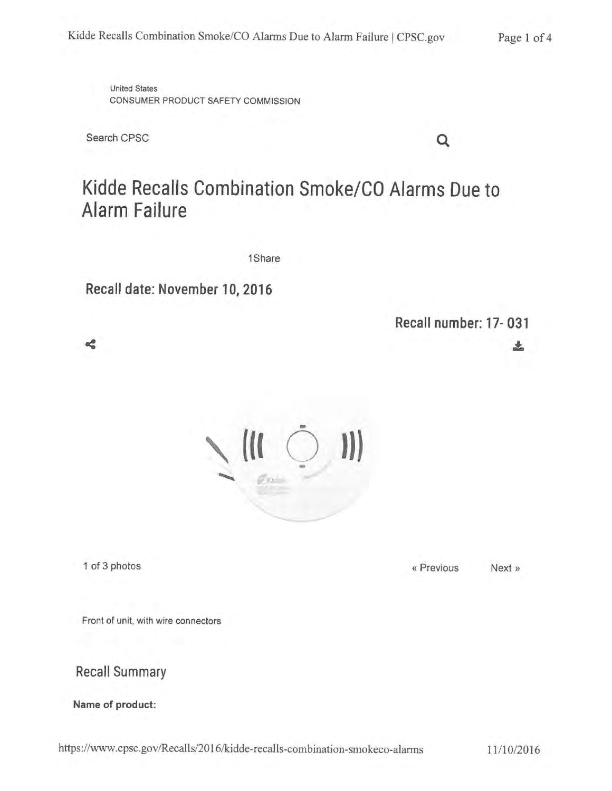United States CONSUMER PRODUCT SAFETY COMMISSION

Search CPSC

# **Kidde Recalls Combination Smoke/CO Alarms Due to Alarm Failure**

1Share

**Recall date: November 10, 2016** 

**Recall number: 17-031** 

之

Q



≼

1 of 3 photos Next »

Front of unit, with wire connectors

**Recall Summary** 

**Name of product:** 

https://www.cpsc.gov/Recalls/2016/kidde-recalls-combination-smokeco-alarrns 11/10/2016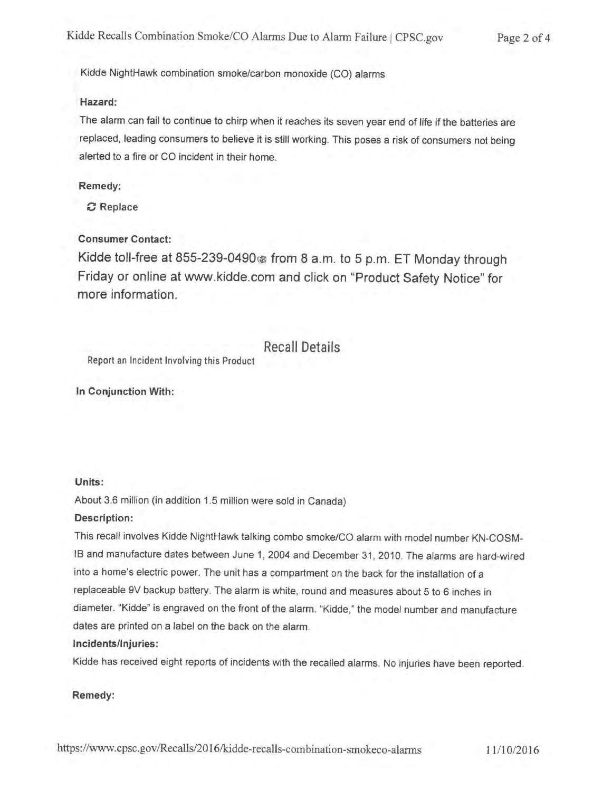Kidde NightHawk combination smoke/carbon monoxide (CO) alarms

#### **Hazard:**

The alarm can fail to continue to chirp when it reaches its seven year end of life if the batteries are replaced, leading consumers to believe it is still working. This poses a risk of consumers not being alerted to a fire or CO incident in their home.

#### **Remedy:**

**C Replace** 

#### **Consumer Contact:**

Kidde toll-free at 855-239-0490@ from 8 a.m. to 5 p.m. ET Monday through Friday or online at www.kidde.com and click on "Product Safety Notice" for more information.

### Recall Details

Report an Incident Involving this Product

**In Conjunction With:** 

#### **Units:**

About 3.6 million (in addition 1.5 million were sold in Canada)

#### **Description:**

This recall involves Kidde NightHawk talking combo smoke/CO alarm with model number KN-COSM-IB and manufacture dates between June 1, 2004 and December 31, 2010. The alarms are hard-wired into a home's electric power. The unit has a compartment on the back for the installation of a replaceable 9V backup battery. The alarm is white, round and measures about 5 to 6 inches in diameter. "Kidde" is engraved on the front of the alarm. "Kidde," the model number and manufacture dates are printed on a label on the back on the alarm.

#### I **ncidents/1 njuries:**

Kidde has received eight reports of incidents with the recalled alarms. No injuries have been reported.

#### **Remedy:**